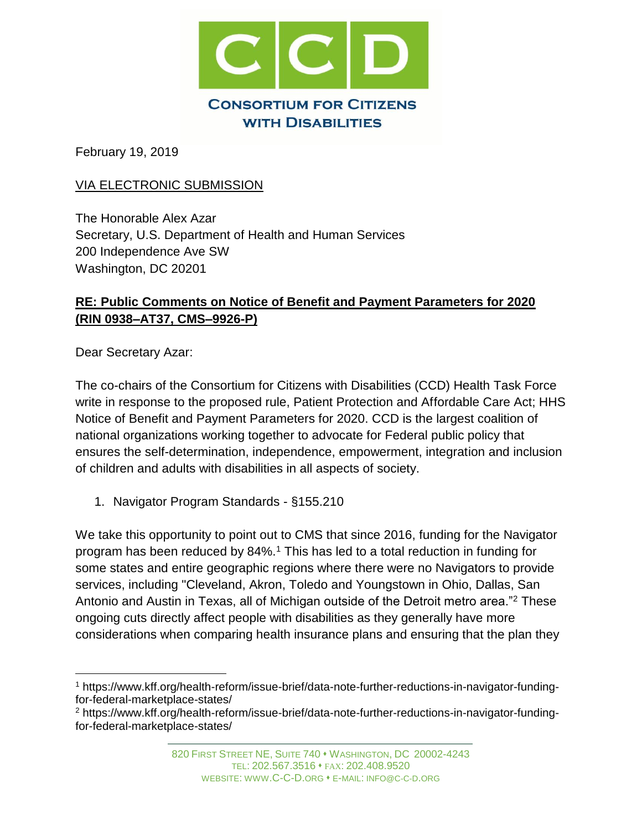

February 19, 2019

## VIA ELECTRONIC SUBMISSION

The Honorable Alex Azar Secretary, U.S. Department of Health and Human Services 200 Independence Ave SW Washington, DC 20201

## **RE: Public Comments on Notice of Benefit and Payment Parameters for 2020 (RIN 0938–AT37, CMS–9926-P)**

Dear Secretary Azar:

÷.

The co-chairs of the Consortium for Citizens with Disabilities (CCD) Health Task Force write in response to the proposed rule, Patient Protection and Affordable Care Act; HHS Notice of Benefit and Payment Parameters for 2020. CCD is the largest coalition of national organizations working together to advocate for Federal public policy that ensures the self-determination, independence, empowerment, integration and inclusion of children and adults with disabilities in all aspects of society.

1. Navigator Program Standards - §155.210

We take this opportunity to point out to CMS that since 2016, funding for the Navigator program has been reduced by 84%.<sup>1</sup> This has led to a total reduction in funding for some states and entire geographic regions where there were no Navigators to provide services, including "Cleveland, Akron, Toledo and Youngstown in Ohio, Dallas, San Antonio and Austin in Texas, all of Michigan outside of the Detroit metro area."<sup>2</sup> These ongoing cuts directly affect people with disabilities as they generally have more considerations when comparing health insurance plans and ensuring that the plan they

<sup>1</sup> https://www.kff.org/health-reform/issue-brief/data-note-further-reductions-in-navigator-fundingfor-federal-marketplace-states/

<sup>2</sup> https://www.kff.org/health-reform/issue-brief/data-note-further-reductions-in-navigator-fundingfor-federal-marketplace-states/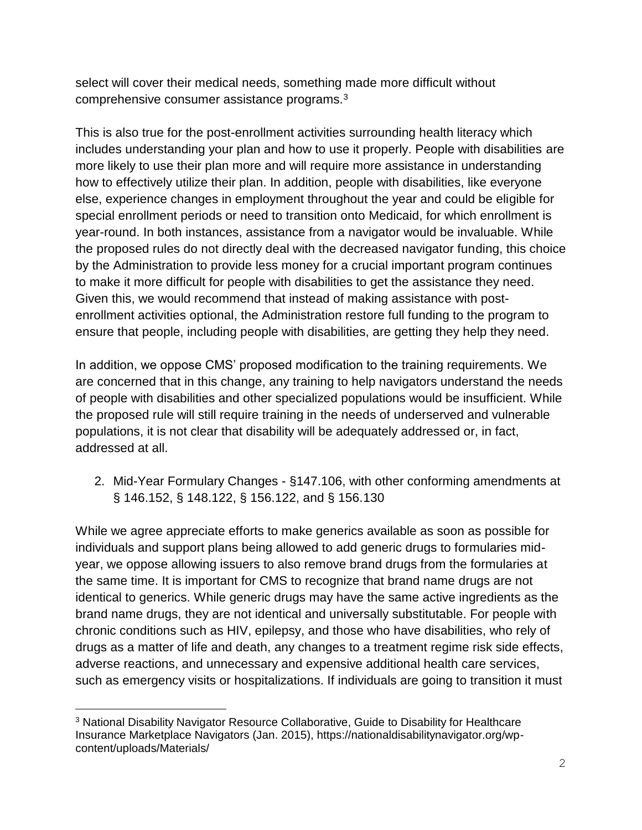select will cover their medical needs, something made more difficult without comprehensive consumer assistance programs.<sup>3</sup>

This is also true for the post-enrollment activities surrounding health literacy which includes understanding your plan and how to use it properly. People with disabilities are more likely to use their plan more and will require more assistance in understanding how to effectively utilize their plan. In addition, people with disabilities, like everyone else, experience changes in employment throughout the year and could be eligible for special enrollment periods or need to transition onto Medicaid, for which enrollment is year-round. In both instances, assistance from a navigator would be invaluable. While the proposed rules do not directly deal with the decreased navigator funding, this choice by the Administration to provide less money for a crucial important program continues to make it more difficult for people with disabilities to get the assistance they need. Given this, we would recommend that instead of making assistance with postenrollment activities optional, the Administration restore full funding to the program to ensure that people, including people with disabilities, are getting they help they need.

In addition, we oppose CMS' proposed modification to the training requirements. We are concerned that in this change, any training to help navigators understand the needs of people with disabilities and other specialized populations would be insufficient. While the proposed rule will still require training in the needs of underserved and vulnerable populations, it is not clear that disability will be adequately addressed or, in fact, addressed at all.

2. Mid-Year Formulary Changes - §147.106, with other conforming amendments at § 146.152, § 148.122, § 156.122, and § 156.130

While we agree appreciate efforts to make generics available as soon as possible for individuals and support plans being allowed to add generic drugs to formularies midyear, we oppose allowing issuers to also remove brand drugs from the formularies at the same time. It is important for CMS to recognize that brand name drugs are not identical to generics. While generic drugs may have the same active ingredients as the brand name drugs, they are not identical and universally substitutable. For people with chronic conditions such as HIV, epilepsy, and those who have disabilities, who rely of drugs as a matter of life and death, any changes to a treatment regime risk side effects, adverse reactions, and unnecessary and expensive additional health care services, such as emergency visits or hospitalizations. If individuals are going to transition it must

÷.

<sup>3</sup> National Disability Navigator Resource Collaborative, Guide to Disability for Healthcare Insurance Marketplace Navigators (Jan. 2015), https://nationaldisabilitynavigator.org/wpcontent/uploads/Materials/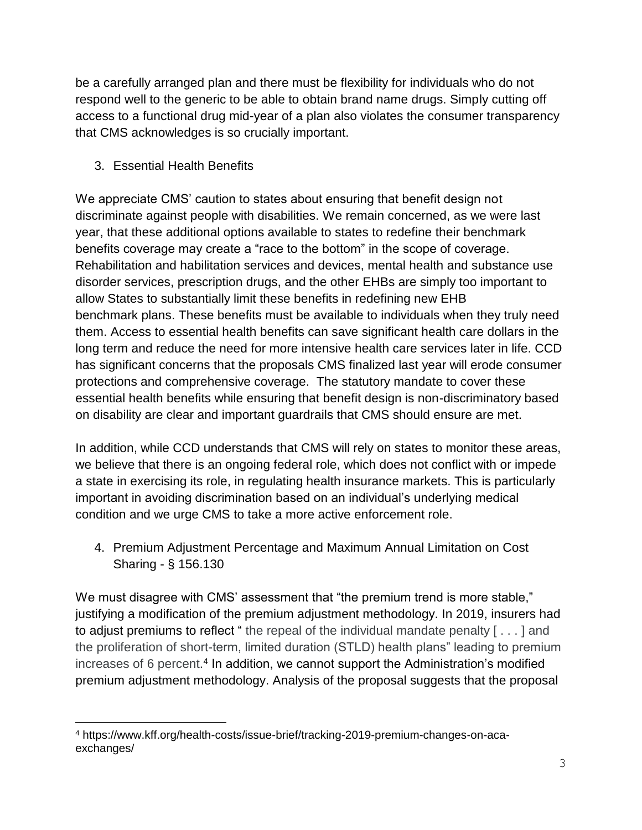be a carefully arranged plan and there must be flexibility for individuals who do not respond well to the generic to be able to obtain brand name drugs. Simply cutting off access to a functional drug mid-year of a plan also violates the consumer transparency that CMS acknowledges is so crucially important.

## 3. Essential Health Benefits

L,

We appreciate CMS' caution to states about ensuring that benefit design not discriminate against people with disabilities. We remain concerned, as we were last year, that these additional options available to states to redefine their benchmark benefits coverage may create a "race to the bottom" in the scope of coverage. Rehabilitation and habilitation services and devices, mental health and substance use disorder services, prescription drugs, and the other EHBs are simply too important to allow States to substantially limit these benefits in redefining new EHB benchmark plans. These benefits must be available to individuals when they truly need them. Access to essential health benefits can save significant health care dollars in the long term and reduce the need for more intensive health care services later in life. CCD has significant concerns that the proposals CMS finalized last year will erode consumer protections and comprehensive coverage. The statutory mandate to cover these essential health benefits while ensuring that benefit design is non-discriminatory based on disability are clear and important guardrails that CMS should ensure are met.

In addition, while CCD understands that CMS will rely on states to monitor these areas, we believe that there is an ongoing federal role, which does not conflict with or impede a state in exercising its role, in regulating health insurance markets. This is particularly important in avoiding discrimination based on an individual's underlying medical condition and we urge CMS to take a more active enforcement role.

4. Premium Adjustment Percentage and Maximum Annual Limitation on Cost Sharing - § 156.130

We must disagree with CMS' assessment that "the premium trend is more stable," justifying a modification of the premium adjustment methodology. In 2019, insurers had to adjust premiums to reflect " the repeal of the individual mandate penalty  $[...]$  and the proliferation of short-term, limited duration (STLD) health plans" leading to premium increases of 6 percent.<sup>4</sup> In addition, we cannot support the Administration's modified premium adjustment methodology. Analysis of the proposal suggests that the proposal

<sup>4</sup> https://www.kff.org/health-costs/issue-brief/tracking-2019-premium-changes-on-acaexchanges/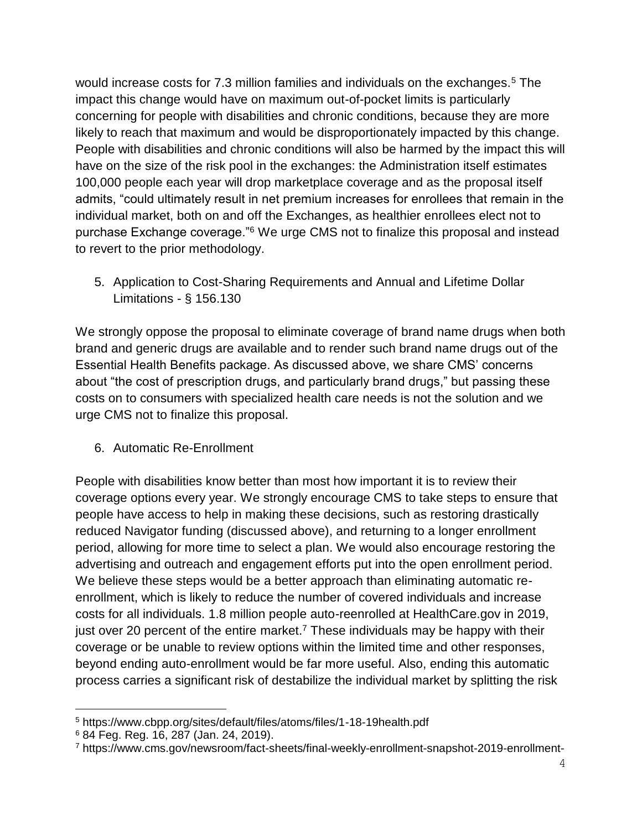would increase costs for 7.3 million families and individuals on the exchanges.<sup>5</sup> The impact this change would have on maximum out-of-pocket limits is particularly concerning for people with disabilities and chronic conditions, because they are more likely to reach that maximum and would be disproportionately impacted by this change. People with disabilities and chronic conditions will also be harmed by the impact this will have on the size of the risk pool in the exchanges: the Administration itself estimates 100,000 people each year will drop marketplace coverage and as the proposal itself admits, "could ultimately result in net premium increases for enrollees that remain in the individual market, both on and off the Exchanges, as healthier enrollees elect not to purchase Exchange coverage."<sup>6</sup> We urge CMS not to finalize this proposal and instead to revert to the prior methodology.

5. Application to Cost-Sharing Requirements and Annual and Lifetime Dollar Limitations - § 156.130

We strongly oppose the proposal to eliminate coverage of brand name drugs when both brand and generic drugs are available and to render such brand name drugs out of the Essential Health Benefits package. As discussed above, we share CMS' concerns about "the cost of prescription drugs, and particularly brand drugs," but passing these costs on to consumers with specialized health care needs is not the solution and we urge CMS not to finalize this proposal.

6. Automatic Re-Enrollment

People with disabilities know better than most how important it is to review their coverage options every year. We strongly encourage CMS to take steps to ensure that people have access to help in making these decisions, such as restoring drastically reduced Navigator funding (discussed above), and returning to a longer enrollment period, allowing for more time to select a plan. We would also encourage restoring the advertising and outreach and engagement efforts put into the open enrollment period. We believe these steps would be a better approach than eliminating automatic reenrollment, which is likely to reduce the number of covered individuals and increase costs for all individuals. 1.8 million people auto-reenrolled at HealthCare.gov in 2019, just over 20 percent of the entire market.<sup>7</sup> These individuals may be happy with their coverage or be unable to review options within the limited time and other responses, beyond ending auto-enrollment would be far more useful. Also, ending this automatic process carries a significant risk of destabilize the individual market by splitting the risk

÷.

<sup>5</sup> https://www.cbpp.org/sites/default/files/atoms/files/1-18-19health.pdf

<sup>6</sup> 84 Feg. Reg. 16, 287 (Jan. 24, 2019).

<sup>7</sup> https://www.cms.gov/newsroom/fact-sheets/final-weekly-enrollment-snapshot-2019-enrollment-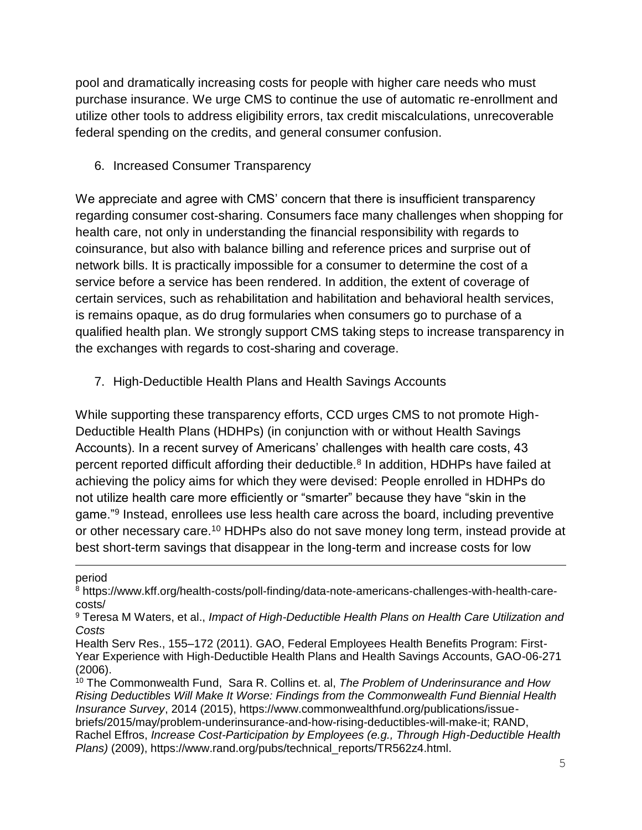pool and dramatically increasing costs for people with higher care needs who must purchase insurance. We urge CMS to continue the use of automatic re-enrollment and utilize other tools to address eligibility errors, tax credit miscalculations, unrecoverable federal spending on the credits, and general consumer confusion.

6. Increased Consumer Transparency

We appreciate and agree with CMS' concern that there is insufficient transparency regarding consumer cost-sharing. Consumers face many challenges when shopping for health care, not only in understanding the financial responsibility with regards to coinsurance, but also with balance billing and reference prices and surprise out of network bills. It is practically impossible for a consumer to determine the cost of a service before a service has been rendered. In addition, the extent of coverage of certain services, such as rehabilitation and habilitation and behavioral health services, is remains opaque, as do drug formularies when consumers go to purchase of a qualified health plan. We strongly support CMS taking steps to increase transparency in the exchanges with regards to cost-sharing and coverage.

7. High-Deductible Health Plans and Health Savings Accounts

While supporting these transparency efforts, CCD urges CMS to not promote High-Deductible Health Plans (HDHPs) (in conjunction with or without Health Savings Accounts). In a recent survey of Americans' challenges with health care costs, 43 percent reported difficult affording their deductible.<sup>8</sup> In addition, HDHPs have failed at achieving the policy aims for which they were devised: People enrolled in HDHPs do not utilize health care more efficiently or "smarter" because they have "skin in the game."<sup>9</sup> Instead, enrollees use less health care across the board, including preventive or other necessary care.<sup>10</sup> HDHPs also do not save money long term, instead provide at best short-term savings that disappear in the long-term and increase costs for low

## period

÷.

<sup>8</sup> https://www.kff.org/health-costs/poll-finding/data-note-americans-challenges-with-health-carecosts/

<sup>9</sup> Teresa M Waters, et al., *Impact of High-Deductible Health Plans on Health Care Utilization and Costs*

Health Serv Res., 155–172 (2011). GAO, Federal Employees Health Benefits Program: First-Year Experience with High-Deductible Health Plans and Health Savings Accounts, GAO-06-271 (2006).

<sup>10</sup> The Commonwealth Fund, Sara R. Collins et. al, *The Problem of Underinsurance and How Rising Deductibles Will Make It Worse: Findings from the Commonwealth Fund Biennial Health Insurance Survey*, 2014 (2015), https://www.commonwealthfund.org/publications/issuebriefs/2015/may/problem-underinsurance-and-how-rising-deductibles-will-make-it; RAND, Rachel Effros, *Increase Cost-Participation by Employees (e.g., Through High-Deductible Health Plans)* (2009), https://www.rand.org/pubs/technical\_reports/TR562z4.html.